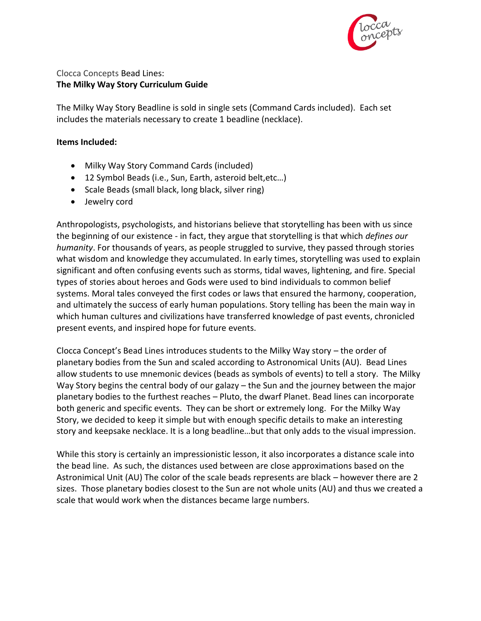

## Clocca Concepts Bead Lines: **The Milky Way Story Curriculum Guide**

The Milky Way Story Beadline is sold in single sets (Command Cards included). Each set includes the materials necessary to create 1 beadline (necklace).

### **Items Included:**

- Milky Way Story Command Cards (included)
- 12 Symbol Beads (i.e., Sun, Earth, asteroid belt,etc…)
- Scale Beads (small black, long black, silver ring)
- Jewelry cord

Anthropologists, psychologists, and historians believe that storytelling has been with us since the beginning of our existence - in fact, they argue that storytelling is that which *defines our humanity*. For thousands of years, as people struggled to survive, they passed through stories what wisdom and knowledge they accumulated. In early times, storytelling was used to explain significant and often confusing events such as storms, tidal waves, lightening, and fire. Special types of stories about heroes and Gods were used to bind individuals to common belief systems. Moral tales conveyed the first codes or laws that ensured the harmony, cooperation, and ultimately the success of early human populations. Story telling has been the main way in which human cultures and civilizations have transferred knowledge of past events, chronicled present events, and inspired hope for future events.

Clocca Concept's Bead Lines introduces students to the Milky Way story – the order of planetary bodies from the Sun and scaled according to Astronomical Units (AU). Bead Lines allow students to use mnemonic devices (beads as symbols of events) to tell a story. The Milky Way Story begins the central body of our galazy – the Sun and the journey between the major planetary bodies to the furthest reaches – Pluto, the dwarf Planet. Bead lines can incorporate both generic and specific events. They can be short or extremely long. For the Milky Way Story, we decided to keep it simple but with enough specific details to make an interesting story and keepsake necklace. It is a long beadline…but that only adds to the visual impression.

While this story is certainly an impressionistic lesson, it also incorporates a distance scale into the bead line. As such, the distances used between are close approximations based on the Astronimical Unit (AU) The color of the scale beads represents are black – however there are 2 sizes. Those planetary bodies closest to the Sun are not whole units (AU) and thus we created a scale that would work when the distances became large numbers.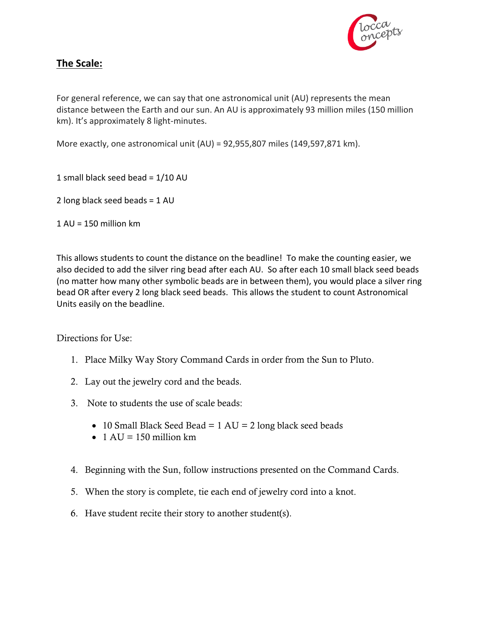

# **The Scale:**

For general reference, we can say that one astronomical unit (AU) represents the mean distance between the Earth and our sun. An AU is approximately 93 million miles (150 million km). It's approximately 8 light-minutes.

More exactly, one astronomical unit (AU) = 92,955,807 miles (149,597,871 km).

1 small black seed bead = 1/10 AU

2 long black seed beads = 1 AU

 $1 AU = 150$  million km

This allows students to count the distance on the beadline! To make the counting easier, we also decided to add the silver ring bead after each AU. So after each 10 small black seed beads (no matter how many other symbolic beads are in between them), you would place a silver ring bead OR after every 2 long black seed beads. This allows the student to count Astronomical Units easily on the beadline.

Directions for Use:

- 1. Place Milky Way Story Command Cards in order from the Sun to Pluto.
- 2. Lay out the jewelry cord and the beads.
- 3. Note to students the use of scale beads:
	- $\bullet$  10 Small Black Seed Bead = 1 AU = 2 long black seed beads
	- $\bullet$  1 AU = 150 million km
- 4. Beginning with the Sun, follow instructions presented on the Command Cards.
- 5. When the story is complete, tie each end of jewelry cord into a knot.
- 6. Have student recite their story to another student(s).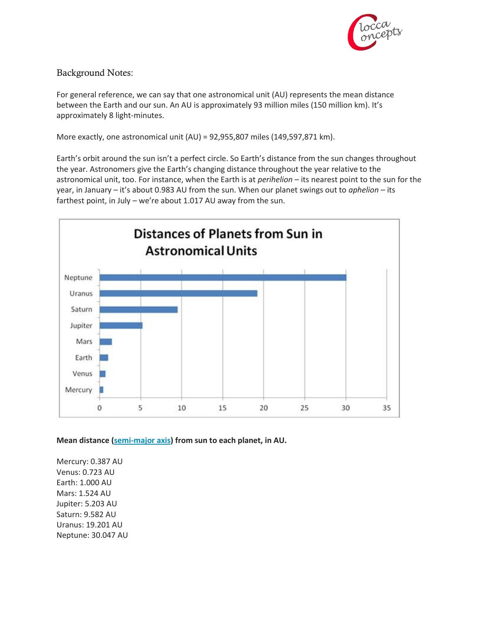

## Background Notes:

For general reference, we can say that one astronomical unit (AU) represents the mean distance between the Earth and our sun. An AU is approximately 93 million miles (150 million km). It's approximately 8 light-minutes.

More exactly, one astronomical unit (AU) = 92,955,807 miles (149,597,871 km).

Earth's orbit around the sun isn't a perfect circle. So Earth's distance from the sun changes throughout the year. Astronomers give the Earth's changing distance throughout the year relative to the astronomical unit, too. For instance, when the Earth is at *perihelion* – its nearest point to the sun for the year, in January – it's about 0.983 AU from the sun. When our planet swings out to *aphelion* – its farthest point, in July – we're about 1.017 AU away from the sun.



#### **Mean distance [\(semi-major axis\)](http://www.mathopenref.com/ellipsesemiaxes.html) from sun to each planet, in AU.**

Mercury: 0.387 AU Venus: 0.723 AU Earth: 1.000 AU Mars: 1.524 AU Jupiter: 5.203 AU Saturn: 9.582 AU Uranus: 19.201 AU Neptune: 30.047 AU